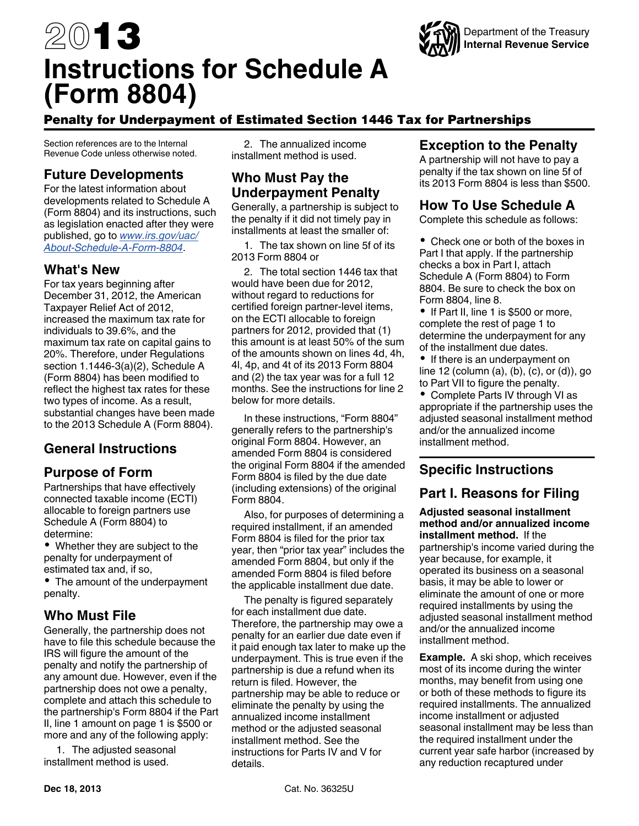# 2013 **Instructions for Schedule A (Form 8804)**

# Penalty for Underpayment of Estimated Section 1446 Tax for Partnerships

Section references are to the Internal Revenue Code unless otherwise noted.

# **Future Developments**

For the latest information about developments related to Schedule A (Form 8804) and its instructions, such as legislation enacted after they were published, go to *[www.irs.gov/uac/](http://www.irs.gov/uac/About-Schedule-A-Form-8804) [About-Schedule-A-Form-8804](http://www.irs.gov/uac/About-Schedule-A-Form-8804)*.

## **What's New**

For tax years beginning after December 31, 2012, the American Taxpayer Relief Act of 2012, increased the maximum tax rate for individuals to 39.6%, and the maximum tax rate on capital gains to 20%. Therefore, under Regulations section 1.1446-3(a)(2), Schedule A (Form 8804) has been modified to reflect the highest tax rates for these two types of income. As a result, substantial changes have been made to the 2013 Schedule A (Form 8804).

# **General Instructions**

# **Purpose of Form**

Partnerships that have effectively connected taxable income (ECTI) allocable to foreign partners use Schedule A (Form 8804) to determine:

Whether they are subject to the penalty for underpayment of estimated tax and, if so,

• The amount of the underpayment penalty.

# **Who Must File**

Generally, the partnership does not have to file this schedule because the IRS will figure the amount of the penalty and notify the partnership of any amount due. However, even if the partnership does not owe a penalty, complete and attach this schedule to the partnership's Form 8804 if the Part II, line 1 amount on page 1 is \$500 or more and any of the following apply:

1. The adjusted seasonal installment method is used.

2. The annualized income installment method is used.

#### **Who Must Pay the Underpayment Penalty**

Generally, a partnership is subject to the penalty if it did not timely pay in installments at least the smaller of:

1. The tax shown on line 5f of its 2013 Form 8804 or

2. The total section 1446 tax that would have been due for 2012, without regard to reductions for certified foreign partner-level items, on the ECTI allocable to foreign partners for 2012, provided that (1) this amount is at least 50% of the sum of the amounts shown on lines 4d, 4h, 4l, 4p, and 4t of its 2013 Form 8804 and (2) the tax year was for a full 12 months. See the instructions for line 2 below for more details.

In these instructions, "Form 8804" generally refers to the partnership's original Form 8804. However, an amended Form 8804 is considered the original Form 8804 if the amended Form 8804 is filed by the due date (including extensions) of the original Form 8804.

Also, for purposes of determining a required installment, if an amended Form 8804 is filed for the prior tax year, then "prior tax year" includes the amended Form 8804, but only if the amended Form 8804 is filed before the applicable installment due date.

The penalty is figured separately for each installment due date. Therefore, the partnership may owe a penalty for an earlier due date even if it paid enough tax later to make up the underpayment. This is true even if the partnership is due a refund when its return is filed. However, the partnership may be able to reduce or eliminate the penalty by using the annualized income installment method or the adjusted seasonal installment method. See the instructions for Parts IV and V for details.

# **Exception to the Penalty**

A partnership will not have to pay a penalty if the tax shown on line 5f of its 2013 Form 8804 is less than \$500.

#### **How To Use Schedule A**

Complete this schedule as follows:

• Check one or both of the boxes in Part I that apply. If the partnership checks a box in Part I, attach Schedule A (Form 8804) to Form 8804. Be sure to check the box on Form 8804, line 8.

• If Part II, line 1 is \$500 or more, complete the rest of page 1 to determine the underpayment for any of the installment due dates.

• If there is an underpayment on line 12 (column (a), (b), (c), or (d)), go to Part VII to figure the penalty.

• Complete Parts IV through VI as appropriate if the partnership uses the adjusted seasonal installment method and/or the annualized income installment method.

# **Specific Instructions**

#### **Part I. Reasons for Filing**

**Adjusted seasonal installment method and/or annualized income installment method.** If the partnership's income varied during the year because, for example, it operated its business on a seasonal basis, it may be able to lower or eliminate the amount of one or more required installments by using the adjusted seasonal installment method and/or the annualized income installment method.

**Example.** A ski shop, which receives most of its income during the winter months, may benefit from using one or both of these methods to figure its required installments. The annualized income installment or adjusted seasonal installment may be less than the required installment under the current year safe harbor (increased by any reduction recaptured under

Department of the Treasury **Internal Revenue Service**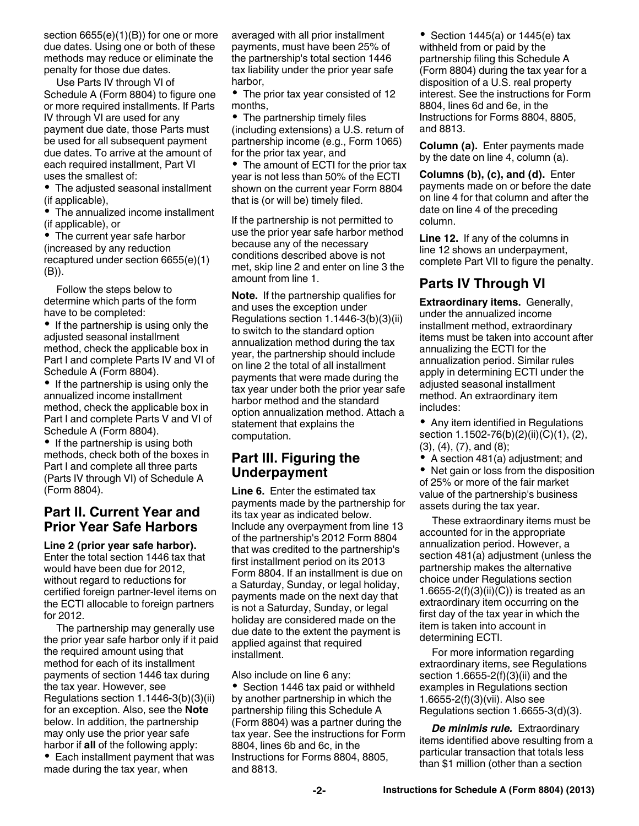section 6655(e)(1)(B)) for one or more due dates. Using one or both of these methods may reduce or eliminate the penalty for those due dates.

Use Parts IV through VI of Schedule A (Form 8804) to figure one or more required installments. If Parts IV through VI are used for any payment due date, those Parts must be used for all subsequent payment due dates. To arrive at the amount of each required installment, Part VI uses the smallest of:

The adjusted seasonal installment (if applicable),

The annualized income installment (if applicable), or

• The current year safe harbor (increased by any reduction recaptured under section 6655(e)(1) (B)).

Follow the steps below to determine which parts of the form have to be completed:

 $\bullet$  If the partnership is using only the adjusted seasonal installment method, check the applicable box in Part I and complete Parts IV and VI of Schedule A (Form 8804).

• If the partnership is using only the annualized income installment method, check the applicable box in Part I and complete Parts V and VI of Schedule A (Form 8804).

• If the partnership is using both methods, check both of the boxes in Part I and complete all three parts (Parts IV through VI) of Schedule A (Form 8804).

## **Part II. Current Year and Prior Year Safe Harbors**

**Line 2 (prior year safe harbor).**  Enter the total section 1446 tax that would have been due for 2012, without regard to reductions for certified foreign partner-level items on the ECTI allocable to foreign partners for 2012.

The partnership may generally use the prior year safe harbor only if it paid the required amount using that method for each of its installment payments of section 1446 tax during the tax year. However, see Regulations section 1.1446-3(b)(3)(ii) for an exception. Also, see the **Note**  below. In addition, the partnership may only use the prior year safe harbor if **all** of the following apply:

• Each installment payment that was made during the tax year, when

averaged with all prior installment payments, must have been 25% of the partnership's total section 1446 tax liability under the prior year safe harbor,

• The prior tax year consisted of 12 months,

• The partnership timely files (including extensions) a U.S. return of partnership income (e.g., Form 1065) for the prior tax year, and

• The amount of ECTI for the prior tax year is not less than 50% of the ECTI shown on the current year Form 8804 that is (or will be) timely filed.

If the partnership is not permitted to use the prior year safe harbor method because any of the necessary conditions described above is not met, skip line 2 and enter on line 3 the amount from line 1.

**Note.** If the partnership qualifies for and uses the exception under Regulations section 1.1446-3(b)(3)(ii) to switch to the standard option annualization method during the tax year, the partnership should include on line 2 the total of all installment payments that were made during the tax year under both the prior year safe harbor method and the standard option annualization method. Attach a statement that explains the computation.

## **Part III. Figuring the Underpayment**

**Line 6.** Enter the estimated tax payments made by the partnership for its tax year as indicated below. Include any overpayment from line 13 of the partnership's 2012 Form 8804 that was credited to the partnership's first installment period on its 2013 Form 8804. If an installment is due on a Saturday, Sunday, or legal holiday, payments made on the next day that is not a Saturday, Sunday, or legal holiday are considered made on the due date to the extent the payment is applied against that required installment.

Also include on line 6 any:

• Section 1446 tax paid or withheld by another partnership in which the partnership filing this Schedule A (Form 8804) was a partner during the tax year. See the instructions for Form 8804, lines 6b and 6c, in the Instructions for Forms 8804, 8805, and 8813.

• Section 1445(a) or 1445(e) tax withheld from or paid by the partnership filing this Schedule A (Form 8804) during the tax year for a disposition of a U.S. real property interest. See the instructions for Form 8804, lines 6d and 6e, in the Instructions for Forms 8804, 8805, and 8813.

**Column (a).** Enter payments made by the date on line 4, column (a).

**Columns (b), (c), and (d).** Enter payments made on or before the date on line 4 for that column and after the date on line 4 of the preceding column.

**Line 12.** If any of the columns in line 12 shows an underpayment, complete Part VII to figure the penalty.

# **Parts IV Through VI**

**Extraordinary items.** Generally, under the annualized income installment method, extraordinary items must be taken into account after annualizing the ECTI for the annualization period. Similar rules apply in determining ECTI under the adjusted seasonal installment method. An extraordinary item includes:

• Any item identified in Regulations section 1.1502-76(b)(2)(ii)(C)(1), (2), (3), (4), (7), and (8);

A section 481(a) adjustment; and

• Net gain or loss from the disposition of 25% or more of the fair market value of the partnership's business assets during the tax year.

These extraordinary items must be accounted for in the appropriate annualization period. However, a section 481(a) adjustment (unless the partnership makes the alternative choice under Regulations section 1.6655-2(f)(3)(ii)(C)) is treated as an extraordinary item occurring on the first day of the tax year in which the item is taken into account in determining ECTI.

For more information regarding extraordinary items, see Regulations section 1.6655-2(f)(3)(ii) and the examples in Regulations section 1.6655-2(f)(3)(vii). Also see Regulations section 1.6655-3(d)(3).

*De minimis rule.* Extraordinary items identified above resulting from a particular transaction that totals less than \$1 million (other than a section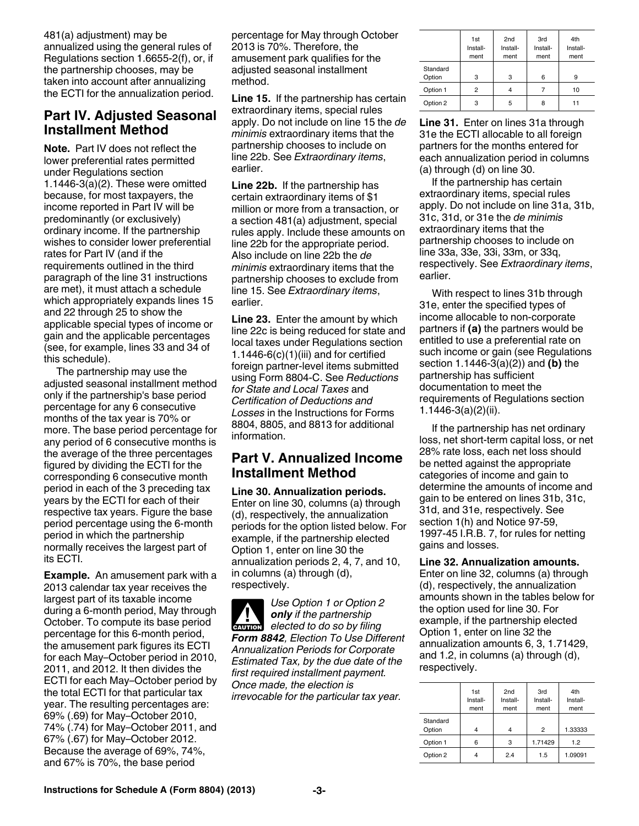481(a) adjustment) may be annualized using the general rules of Regulations section 1.6655-2(f), or, if the partnership chooses, may be taken into account after annualizing the ECTI for the annualization period.

## **Part IV. Adjusted Seasonal Installment Method**

**Note.** Part IV does not reflect the lower preferential rates permitted under Regulations section 1.1446-3 $(a)(2)$ . These were omitted because, for most taxpayers, the income reported in Part IV will be predominantly (or exclusively) ordinary income. If the partnership wishes to consider lower preferential rates for Part IV (and if the requirements outlined in the third paragraph of the line 31 instructions are met), it must attach a schedule which appropriately expands lines 15 and 22 through 25 to show the applicable special types of income or gain and the applicable percentages (see, for example, lines 33 and 34 of this schedule).

The partnership may use the adjusted seasonal installment method only if the partnership's base period percentage for any 6 consecutive months of the tax year is 70% or more. The base period percentage for any period of 6 consecutive months is the average of the three percentages figured by dividing the ECTI for the corresponding 6 consecutive month period in each of the 3 preceding tax years by the ECTI for each of their respective tax years. Figure the base period percentage using the 6-month period in which the partnership normally receives the largest part of its ECTI.

**Example.** An amusement park with a 2013 calendar tax year receives the largest part of its taxable income during a 6-month period, May through October. To compute its base period percentage for this 6-month period, the amusement park figures its ECTI for each May–October period in 2010, 2011, and 2012. It then divides the ECTI for each May–October period by the total ECTI for that particular tax year. The resulting percentages are: 69% (.69) for May–October 2010, 74% (.74) for May–October 2011, and 67% (.67) for May–October 2012. Because the average of 69%, 74%, and 67% is 70%, the base period

percentage for May through October 2013 is 70%. Therefore, the amusement park qualifies for the adjusted seasonal installment method.

**Line 15.** If the partnership has certain extraordinary items, special rules apply. Do not include on line 15 the *de minimis* extraordinary items that the partnership chooses to include on line 22b. See *Extraordinary items*, earlier.

**Line 22b.** If the partnership has certain extraordinary items of \$1 million or more from a transaction, or a section 481(a) adjustment, special rules apply. Include these amounts on line 22b for the appropriate period. Also include on line 22b the *de minimis* extraordinary items that the partnership chooses to exclude from line 15. See *Extraordinary items*, earlier.

**Line 23.** Enter the amount by which line 22c is being reduced for state and local taxes under Regulations section 1.1446-6 $(c)(1)(iii)$  and for certified foreign partner-level items submitted using Form 8804-C. See *Reductions for State and Local Taxes* and *Certification of Deductions and Losses* in the Instructions for Forms 8804, 8805, and 8813 for additional information.

## **Part V. Annualized Income Installment Method**

**Line 30. Annualization periods.**  Enter on line 30, columns (a) through (d), respectively, the annualization periods for the option listed below. For example, if the partnership elected Option 1, enter on line 30 the annualization periods 2, 4, 7, and 10, in columns (a) through (d), respectively.

*Use Option 1 or Option 2 only if the partnership elected to do so by filing Form 8842, Election To Use Different Annualization Periods for Corporate Estimated Tax, by the due date of the first required installment payment. Once made, the election is irrevocable for the particular tax year.* **CAUTION !**

|                    | 1st<br>Install-<br>ment | 2 <sub>nd</sub><br>Install-<br>ment | 3rd<br>Install-<br>ment | 4th<br>Install-<br>ment |
|--------------------|-------------------------|-------------------------------------|-------------------------|-------------------------|
| Standard<br>Option | 3                       | 3                                   | 6                       | 9                       |
| Option 1           | 2                       |                                     |                         | 10                      |
| Option 2           | з                       | 5                                   | 8                       | 11                      |

**Line 31.** Enter on lines 31a through 31e the ECTI allocable to all foreign partners for the months entered for each annualization period in columns (a) through (d) on line 30.

If the partnership has certain extraordinary items, special rules apply. Do not include on line 31a, 31b, 31c, 31d, or 31e the *de minimis*  extraordinary items that the partnership chooses to include on line 33a, 33e, 33i, 33m, or 33q, respectively. See *Extraordinary items*, earlier.

With respect to lines 31b through 31e, enter the specified types of income allocable to non-corporate partners if **(a)** the partners would be entitled to use a preferential rate on such income or gain (see Regulations section 1.1446-3(a)(2)) and **(b)** the partnership has sufficient documentation to meet the requirements of Regulations section 1.1446-3(a)(2)(ii).

If the partnership has net ordinary loss, net short-term capital loss, or net 28% rate loss, each net loss should be netted against the appropriate categories of income and gain to determine the amounts of income and gain to be entered on lines 31b, 31c, 31d, and 31e, respectively. See section 1(h) and Notice 97-59, 1997-45 I.R.B. 7, for rules for netting gains and losses.

#### **Line 32. Annualization amounts.**

Enter on line 32, columns (a) through (d), respectively, the annualization amounts shown in the tables below for the option used for line 30. For example, if the partnership elected Option 1, enter on line 32 the annualization amounts 6, 3, 1.71429, and 1.2, in columns (a) through (d), respectively.

|                    | 1st<br>Install-<br>ment | 2 <sub>nd</sub><br>Install-<br>ment | 3rd<br>Install-<br>ment | 4th<br>Install-<br>ment |
|--------------------|-------------------------|-------------------------------------|-------------------------|-------------------------|
| Standard<br>Option | 4                       | 4                                   | $\overline{2}$          | 1.33333                 |
| Option 1           | 6                       | 3                                   | 1.71429                 | 1.2                     |
| Option 2           | 4                       | 2.4                                 | 1.5                     | 1.09091                 |